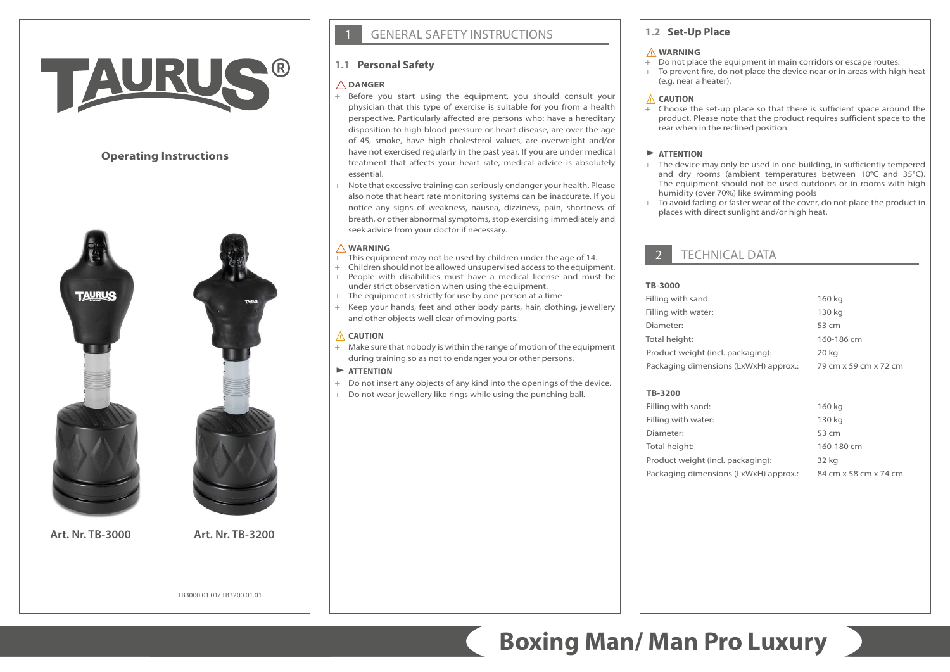# TAURU

## **Operating Instructions**





**Art. Nr. TB-3000 Art. Nr. TB-3200**

**GENERAL SAFETY INSTRUCTIONS** 

# **1.1 Personal Safety**

#### ⚠**DANGER**

- + Before you start using the equipment, you should consult your physician that this type of exercise is suitable for you from a health perspective. Particularly affected are persons who: have a hereditary disposition to high blood pressure or heart disease, are over the age of 45, smoke, have high cholesterol values, are overweight and/or have not exercised regularly in the past year. If you are under medical treatment that affects your heart rate, medical advice is absolutely essential.
- + Note that excessive training can seriously endanger your health. Please also note that heart rate monitoring systems can be inaccurate. If you notice any signs of weakness, nausea, dizziness, pain, shortness of breath, or other abnormal symptoms, stop exercising immediately and seek advice from your doctor if necessary.

#### ⚠**WARNING**

- $+$  This equipment may not be used by children under the age of 14.
- + Children should not be allowed unsupervised access to the equipment. + People with disabilities must have a medical license and must be under strict observation when using the equipment.
- + The equipment is strictly for use by one person at a time
- + Keep your hands, feet and other body parts, hair, clothing, jewellery and other objects well clear of moving parts.

#### ⚠ **CAUTION**

+ Make sure that nobody is within the range of motion of the equipment during training so as not to endanger you or other persons.

#### $\blacktriangleright$  **ATTENTION**

- + Do not insert any objects of any kind into the openings of the device.
- + Do not wear jewellery like rings while using the punching ball.

## **1.2 Set-Up Place**

#### ⚠**WARNING**

- + Do not place the equipment in main corridors or escape routes.
- + To prevent fire, do not place the device near or in areas with high heat (e.g. near a heater).

#### ⚠ **CAUTION**

Choose the set-up place so that there is sufficient space around the product. Please note that the product requires sufficient space to the rear when in the reclined position.

#### $\blacktriangleright$  **ATTENTION**

- + The device may only be used in one building, in sufficiently tempered and dry rooms (ambient temperatures between 10°C and 35°C). The equipment should not be used outdoors or in rooms with high humidity (over 70%) like swimming pools
- + To avoid fading or faster wear of the cover, do not place the product in places with direct sunlight and/or high heat.

# **TECHNICAL DATA**

#### **TB-3000**

| Filling with sand:                    | 160 kg                |
|---------------------------------------|-----------------------|
| Filling with water:                   | 130 kg                |
| Diameter:                             | 53 cm                 |
| Total height:                         | 160-186 cm            |
| Product weight (incl. packaging):     | 20 kg                 |
| Packaging dimensions (LxWxH) approx.: | 79 cm x 59 cm x 72 cm |

#### **TB-3200**

| Filling with sand:                    | 160 kg                |
|---------------------------------------|-----------------------|
| Filling with water:                   | 130 kg                |
| Diameter:                             | 53 cm                 |
| Total height:                         | 160-180 cm            |
| Product weight (incl. packaging):     | 32 kg                 |
| Packaging dimensions (LxWxH) approx.: | 84 cm x 58 cm x 74 cm |

TB3000.01.01/ TB3200.01.01